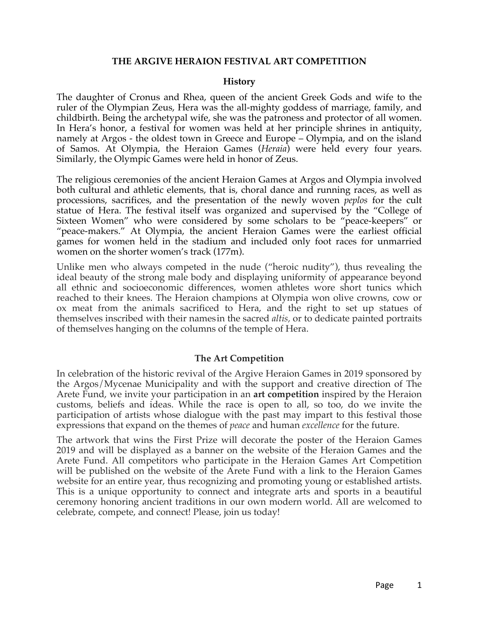#### **THE ARGIVE HERAION FESTIVAL ART COMPETITION**

#### **History**

The daughter of Cronus and Rhea, queen of the ancient Greek Gods and wife to the ruler of the Olympian Zeus, Hera was the all-mighty goddess of marriage, family, and childbirth. Being the archetypal wife, she was the patroness and protector of all women. In Hera's honor, a festival for women was held at her principle shrines in antiquity, namely at Argos - the oldest town in Greece and Europe – Olympia, and on the island of Samos. At Olympia, the Heraion Games (*Heraia*) were held every four years. Similarly, the Olympic Games were held in honor of Zeus.

The religious ceremonies of the ancient Heraion Games at Argos and Olympia involved both cultural and athletic elements, that is, choral dance and running races, as well as processions, sacrifices, and the presentation of the newly woven *peplos* for the cult statue of Hera. The festival itself was organized and supervised by the "College of Sixteen Women" who were considered by some scholars to be "peace-keepers" or "peace-makers." At Olympia, the ancient Heraion Games were the earliest official games for women held in the stadium and included only foot races for unmarried women on the shorter women's track (177m).

Unlike men who always competed in the nude ("heroic nudity"), thus revealing the ideal beauty of the strong male body and displaying uniformity of appearance beyond all ethnic and socioeconomic differences, women athletes wore short tunics which reached to their knees. The Heraion champions at Olympia won olive crowns, cow or ox meat from the animals sacrificed to Hera, and the right to set up statues of themselves inscribed with their namesin the sacred *altis,* or to dedicate painted portraits of themselves hanging on the columns of the temple of Hera.

#### **The Art Competition**

In celebration of the historic revival of the Argive Heraion Games in 2019 sponsored by the Argos/Mycenae Municipality and with the support and creative direction of The Arete Fund, we invite your participation in an **art competition** inspired by the Heraion customs, beliefs and ideas. While the race is open to all, so too, do we invite the participation of artists whose dialogue with the past may impart to this festival those expressions that expand on the themes of *peace* and human *excellence* for the future.

The artwork that wins the First Prize will decorate the poster of the Heraion Games 2019 and will be displayed as a banner on the website of the Heraion Games and the Arete Fund. All competitors who participate in the Heraion Games Art Competition will be published on the website of the Arete Fund with a link to the Heraion Games website for an entire year, thus recognizing and promoting young or established artists. This is a unique opportunity to connect and integrate arts and sports in a beautiful ceremony honoring ancient traditions in our own modern world. All are welcomed to celebrate, compete, and connect! Please, join us today!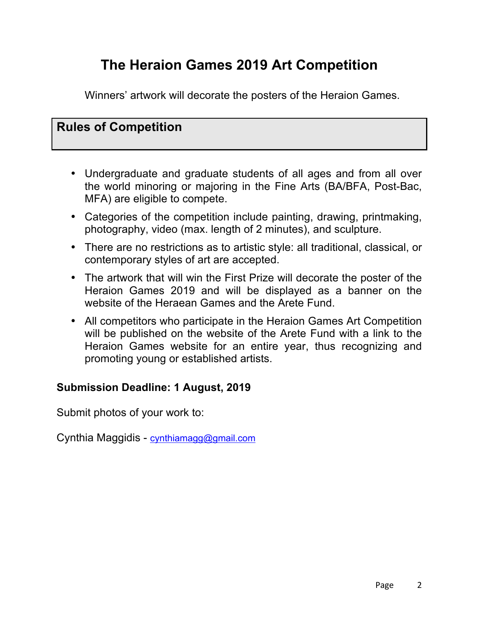# **The Heraion Games 2019 Art Competition**

Winners' artwork will decorate the posters of the Heraion Games.

## **Rules of Competition**

- Undergraduate and graduate students of all ages and from all over the world minoring or majoring in the Fine Arts (BA/BFA, Post-Bac, MFA) are eligible to compete.
- Categories of the competition include painting, drawing, printmaking, photography, video (max. length of 2 minutes), and sculpture.
- There are no restrictions as to artistic style: all traditional, classical, or contemporary styles of art are accepted.
- The artwork that will win the First Prize will decorate the poster of the Heraion Games 2019 and will be displayed as a banner on the website of the Heraean Games and the Arete Fund.
- All competitors who participate in the Heraion Games Art Competition will be published on the website of the Arete Fund with a link to the Heraion Games website for an entire year, thus recognizing and promoting young or established artists.

### **Submission Deadline: 1 August, 2019**

Submit photos of your work to:

Cynthia Maggidis - cynthiamagg@gmail.com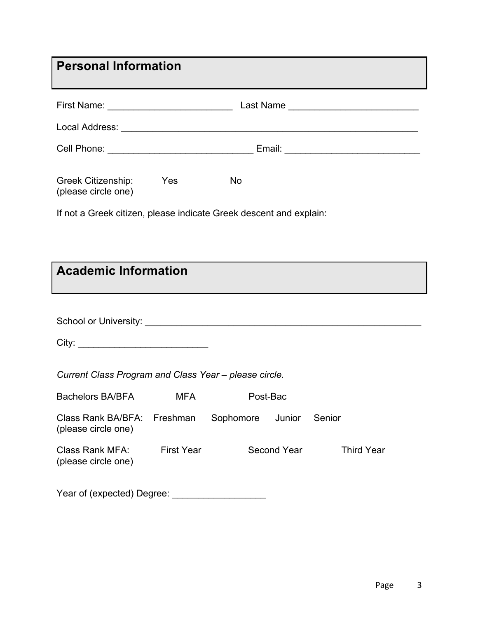| <b>Personal Information</b>                                        |                   |           |                    |                   |  |  |
|--------------------------------------------------------------------|-------------------|-----------|--------------------|-------------------|--|--|
|                                                                    |                   |           |                    |                   |  |  |
|                                                                    |                   |           |                    |                   |  |  |
|                                                                    |                   |           |                    |                   |  |  |
| Greek Citizenship:<br>(please circle one)                          | <b>Parage Yes</b> | <b>No</b> |                    |                   |  |  |
| If not a Greek citizen, please indicate Greek descent and explain: |                   |           |                    |                   |  |  |
|                                                                    |                   |           |                    |                   |  |  |
| <b>Academic Information</b>                                        |                   |           |                    |                   |  |  |
|                                                                    |                   |           |                    |                   |  |  |
|                                                                    |                   |           |                    |                   |  |  |
|                                                                    |                   |           |                    |                   |  |  |
|                                                                    |                   |           |                    |                   |  |  |
| Current Class Program and Class Year - please circle.              |                   |           |                    |                   |  |  |
| <b>Bachelors BA/BFA</b>                                            | MFA               |           | Post-Bac           |                   |  |  |
| Class Rank BA/BFA:<br>(please circle one)                          | Freshman          | Sophomore | Junior             | Senior            |  |  |
| <b>Class Rank MFA:</b><br>(please circle one)                      | <b>First Year</b> |           | <b>Second Year</b> | <b>Third Year</b> |  |  |
| Year of (expected) Degree:                                         |                   |           |                    |                   |  |  |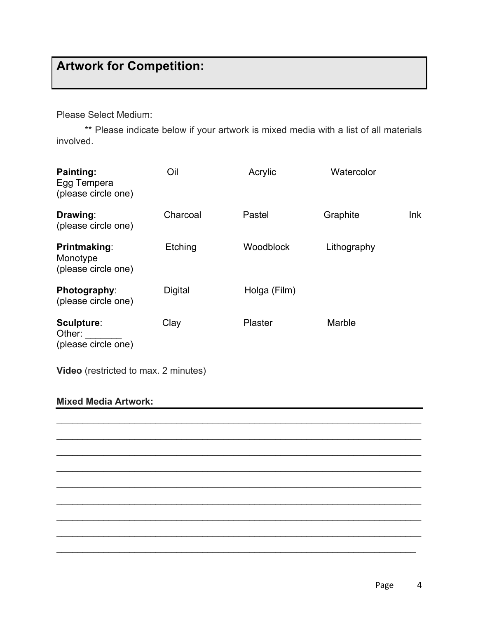# **Artwork for Competition:**

Please Select Medium:

\*\* Please indicate below if your artwork is mixed media with a list of all materials involved.

| Painting:<br>Egg Tempera<br>(please circle one)        | Oil            | Acrylic          | Watercolor  |     |  |
|--------------------------------------------------------|----------------|------------------|-------------|-----|--|
| Drawing:<br>(please circle one)                        | Charcoal       | Pastel           | Graphite    | Ink |  |
| <b>Printmaking:</b><br>Monotype<br>(please circle one) | Etching        | <b>Woodblock</b> | Lithography |     |  |
| Photography:<br>(please circle one)                    | <b>Digital</b> | Holga (Film)     |             |     |  |
| Sculpture:<br>Other:<br>(please circle one)            | Clay           | <b>Plaster</b>   | Marble      |     |  |
| <b>Video</b> (restricted to max. 2 minutes)            |                |                  |             |     |  |

 $\mathcal{L}_\text{max}$  and  $\mathcal{L}_\text{max}$  and  $\mathcal{L}_\text{max}$  and  $\mathcal{L}_\text{max}$  and  $\mathcal{L}_\text{max}$  and  $\mathcal{L}_\text{max}$ 

\_\_\_\_\_\_\_\_\_\_\_\_\_\_\_\_\_\_\_\_\_\_\_\_\_\_\_\_\_\_\_\_\_\_\_\_\_\_\_\_\_\_\_\_\_\_\_\_\_\_\_\_\_\_\_\_\_\_\_\_\_\_\_\_\_\_\_\_\_\_

\_\_\_\_\_\_\_\_\_\_\_\_\_\_\_\_\_\_\_\_\_\_\_\_\_\_\_\_\_\_\_\_\_\_\_\_\_\_\_\_\_\_\_\_\_\_\_\_\_\_\_\_\_\_\_\_\_\_\_\_\_\_\_\_\_\_\_\_\_\_

\_\_\_\_\_\_\_\_\_\_\_\_\_\_\_\_\_\_\_\_\_\_\_\_\_\_\_\_\_\_\_\_\_\_\_\_\_\_\_\_\_\_\_\_\_\_\_\_\_\_\_\_\_\_\_\_\_\_\_\_\_\_\_\_\_\_\_\_\_\_

\_\_\_\_\_\_\_\_\_\_\_\_\_\_\_\_\_\_\_\_\_\_\_\_\_\_\_\_\_\_\_\_\_\_\_\_\_\_\_\_\_\_\_\_\_\_\_\_\_\_\_\_\_\_\_\_\_\_\_\_\_\_\_\_\_\_\_\_\_\_

\_\_\_\_\_\_\_\_\_\_\_\_\_\_\_\_\_\_\_\_\_\_\_\_\_\_\_\_\_\_\_\_\_\_\_\_\_\_\_\_\_\_\_\_\_\_\_\_\_\_\_\_\_\_\_\_\_\_\_\_\_\_\_\_\_\_\_\_\_\_

\_\_\_\_\_\_\_\_\_\_\_\_\_\_\_\_\_\_\_\_\_\_\_\_\_\_\_\_\_\_\_\_\_\_\_\_\_\_\_\_\_\_\_\_\_\_\_\_\_\_\_\_\_\_\_\_\_\_\_\_\_\_\_\_\_\_\_\_\_\_

\_\_\_\_\_\_\_\_\_\_\_\_\_\_\_\_\_\_\_\_\_\_\_\_\_\_\_\_\_\_\_\_\_\_\_\_\_\_\_\_\_\_\_\_\_\_\_\_\_\_\_\_\_\_\_\_\_\_\_\_\_\_\_\_\_\_\_\_\_\_

\_\_\_\_\_\_\_\_\_\_\_\_\_\_\_\_\_\_\_\_\_\_\_\_\_\_\_\_\_\_\_\_\_\_\_\_\_\_\_\_\_\_\_\_\_\_\_\_\_\_\_\_\_\_\_\_\_\_\_\_\_\_\_\_\_\_\_\_\_

#### **Mixed Media Artwork:**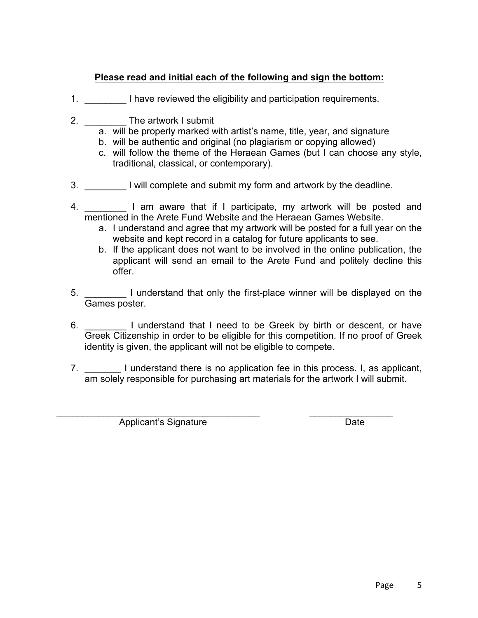#### **Please read and initial each of the following and sign the bottom:**

- 1. **I have reviewed the eligibility and participation requirements.**
- 2. **The artwork I submit** 
	- a. will be properly marked with artist's name, title, year, and signature
	- b. will be authentic and original (no plagiarism or copying allowed)
	- c. will follow the theme of the Heraean Games (but I can choose any style, traditional, classical, or contemporary).
- 3. \_\_\_\_\_\_\_\_ I will complete and submit my form and artwork by the deadline.
- 4. \_\_\_\_\_\_\_\_ I am aware that if I participate, my artwork will be posted and mentioned in the Arete Fund Website and the Heraean Games Website.
	- a. I understand and agree that my artwork will be posted for a full year on the website and kept record in a catalog for future applicants to see.
	- b. If the applicant does not want to be involved in the online publication, the applicant will send an email to the Arete Fund and politely decline this offer.
- 5.  $\Box$  I understand that only the first-place winner will be displayed on the Games poster.
- 6. \_\_\_\_\_\_\_\_ I understand that I need to be Greek by birth or descent, or have Greek Citizenship in order to be eligible for this competition. If no proof of Greek identity is given, the applicant will not be eligible to compete.
- 7. \_\_\_\_\_\_\_\_\_\_ I understand there is no application fee in this process. I, as applicant, am solely responsible for purchasing art materials for the artwork I will submit.

\_\_\_\_\_\_\_\_\_\_\_\_\_\_\_\_\_\_\_\_\_\_\_\_\_\_\_\_\_\_\_\_\_\_\_\_\_\_\_ \_\_\_\_\_\_\_\_\_\_\_\_\_\_\_\_

Applicant's Signature Date